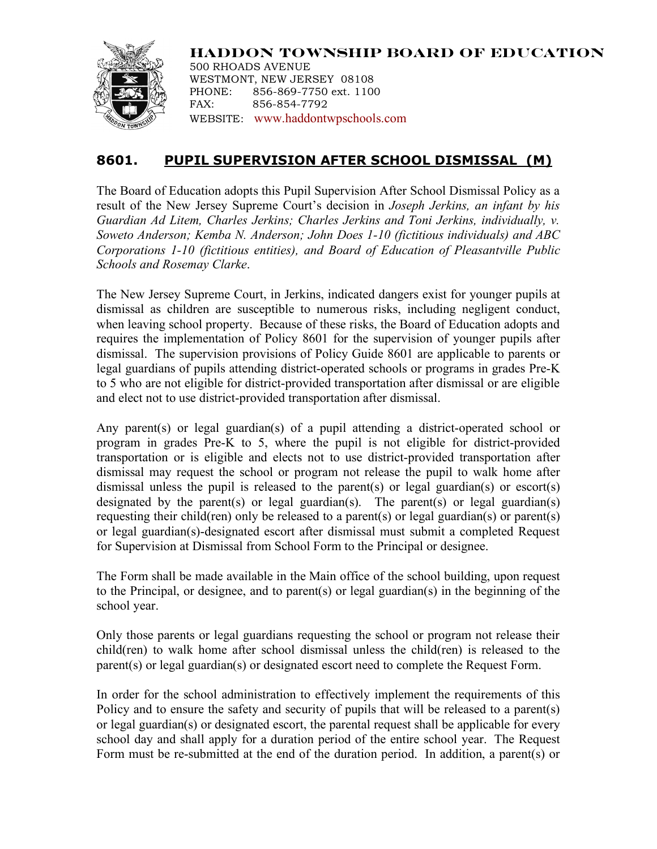

**HADDON TOWNSHIP BOARD OF EDUCATION** 500 RHOADS AVENUE

WESTMONT, NEW JERSEY 08108 PHONE: 856-869-7750 ext. 1100 FAX: 856-854-7792 WEBSITE: www.haddontwpschools.com

## **8601. PUPIL SUPERVISION AFTER SCHOOL DISMISSAL (M)**

The Board of Education adopts this Pupil Supervision After School Dismissal Policy as a result of the New Jersey Supreme Court's decision in *Joseph Jerkins, an infant by his Guardian Ad Litem, Charles Jerkins; Charles Jerkins and Toni Jerkins, individually, v. Soweto Anderson; Kemba N. Anderson; John Does 1-10 (fictitious individuals) and ABC Corporations 1-10 (fictitious entities), and Board of Education of Pleasantville Public Schools and Rosemay Clarke*.

The New Jersey Supreme Court, in Jerkins, indicated dangers exist for younger pupils at dismissal as children are susceptible to numerous risks, including negligent conduct, when leaving school property. Because of these risks, the Board of Education adopts and requires the implementation of Policy 8601 for the supervision of younger pupils after dismissal. The supervision provisions of Policy Guide 8601 are applicable to parents or legal guardians of pupils attending district-operated schools or programs in grades Pre-K to 5 who are not eligible for district-provided transportation after dismissal or are eligible and elect not to use district-provided transportation after dismissal.

Any parent(s) or legal guardian(s) of a pupil attending a district-operated school or program in grades Pre-K to 5, where the pupil is not eligible for district-provided transportation or is eligible and elects not to use district-provided transportation after dismissal may request the school or program not release the pupil to walk home after dismissal unless the pupil is released to the parent(s) or legal guardian(s) or escort(s) designated by the parent(s) or legal guardian(s). The parent(s) or legal guardian(s) requesting their child(ren) only be released to a parent(s) or legal guardian(s) or parent(s) or legal guardian(s)-designated escort after dismissal must submit a completed Request for Supervision at Dismissal from School Form to the Principal or designee.

The Form shall be made available in the Main office of the school building, upon request to the Principal, or designee, and to parent(s) or legal guardian(s) in the beginning of the school year.

Only those parents or legal guardians requesting the school or program not release their child(ren) to walk home after school dismissal unless the child(ren) is released to the parent(s) or legal guardian(s) or designated escort need to complete the Request Form.

In order for the school administration to effectively implement the requirements of this Policy and to ensure the safety and security of pupils that will be released to a parent(s) or legal guardian(s) or designated escort, the parental request shall be applicable for every school day and shall apply for a duration period of the entire school year. The Request Form must be re-submitted at the end of the duration period. In addition, a parent(s) or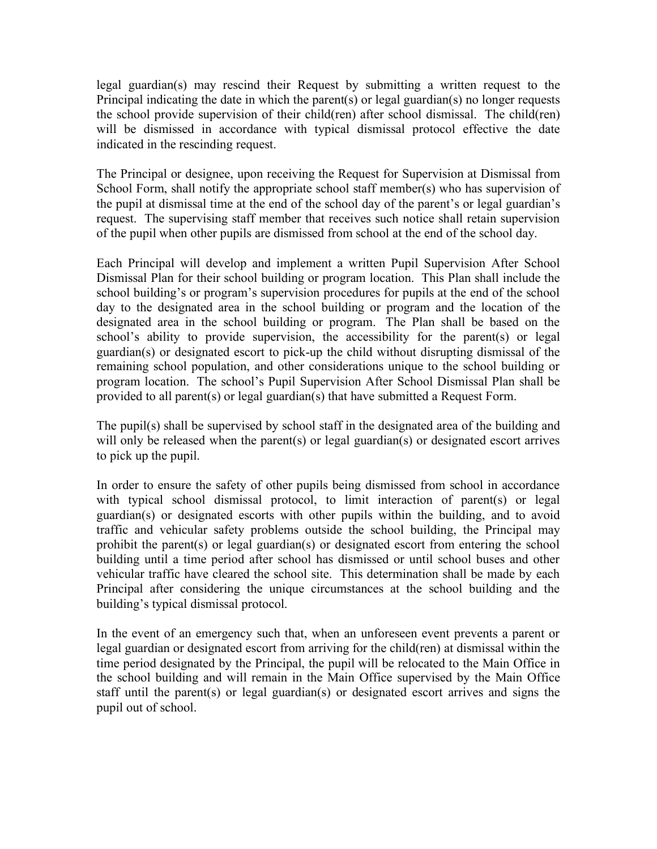legal guardian(s) may rescind their Request by submitting a written request to the Principal indicating the date in which the parent(s) or legal guardian(s) no longer requests the school provide supervision of their child(ren) after school dismissal. The child(ren) will be dismissed in accordance with typical dismissal protocol effective the date indicated in the rescinding request.

The Principal or designee, upon receiving the Request for Supervision at Dismissal from School Form, shall notify the appropriate school staff member(s) who has supervision of the pupil at dismissal time at the end of the school day of the parent's or legal guardian's request. The supervising staff member that receives such notice shall retain supervision of the pupil when other pupils are dismissed from school at the end of the school day.

Each Principal will develop and implement a written Pupil Supervision After School Dismissal Plan for their school building or program location. This Plan shall include the school building's or program's supervision procedures for pupils at the end of the school day to the designated area in the school building or program and the location of the designated area in the school building or program. The Plan shall be based on the school's ability to provide supervision, the accessibility for the parent(s) or legal guardian(s) or designated escort to pick-up the child without disrupting dismissal of the remaining school population, and other considerations unique to the school building or program location. The school's Pupil Supervision After School Dismissal Plan shall be provided to all parent(s) or legal guardian(s) that have submitted a Request Form.

The pupil(s) shall be supervised by school staff in the designated area of the building and will only be released when the parent(s) or legal guardian(s) or designated escort arrives to pick up the pupil.

In order to ensure the safety of other pupils being dismissed from school in accordance with typical school dismissal protocol, to limit interaction of parent(s) or legal guardian(s) or designated escorts with other pupils within the building, and to avoid traffic and vehicular safety problems outside the school building, the Principal may prohibit the parent(s) or legal guardian(s) or designated escort from entering the school building until a time period after school has dismissed or until school buses and other vehicular traffic have cleared the school site. This determination shall be made by each Principal after considering the unique circumstances at the school building and the building's typical dismissal protocol.

In the event of an emergency such that, when an unforeseen event prevents a parent or legal guardian or designated escort from arriving for the child(ren) at dismissal within the time period designated by the Principal, the pupil will be relocated to the Main Office in the school building and will remain in the Main Office supervised by the Main Office staff until the parent(s) or legal guardian(s) or designated escort arrives and signs the pupil out of school.